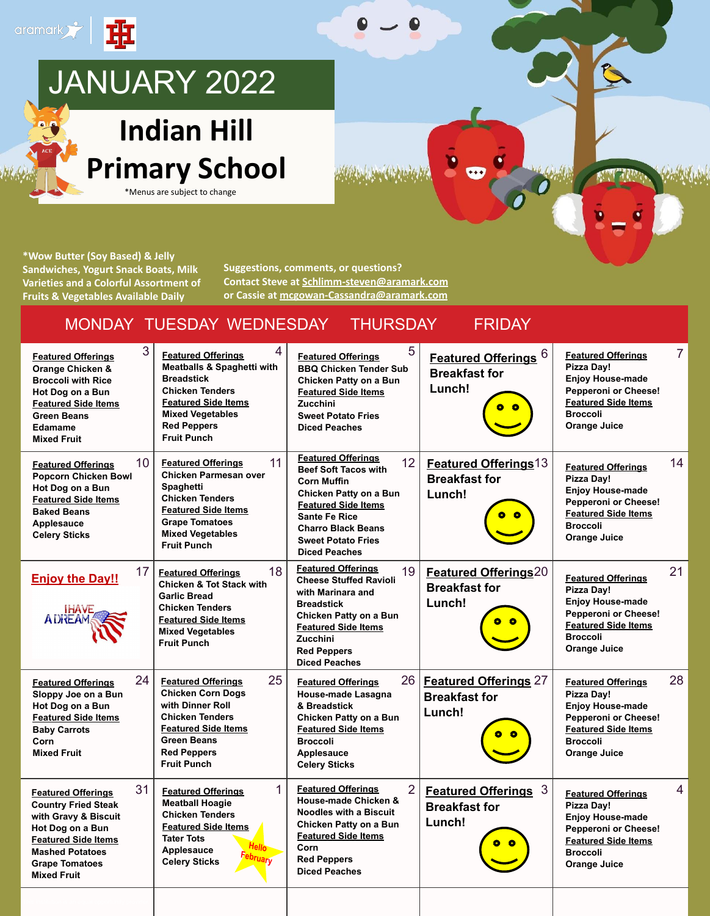

**\*Wow Butter (Soy Based) & Jelly Sandwiches, Yogurt Snack Boats, Milk Varieties and a Colorful Assortment of Fruits & Vegetables Available Daily**

**Suggestions, comments, or questions? Contact Steve at [Schlimm-steven@aramark.com](mailto:Schlimm-steven@aramark.com) or Cassie at [mcgowan-Cassandra@aramark.com](mailto:mcgowan-Cassandra@aramark.com)**

#### MONDAY TUESDAY WEDNESDAY THURSDAY FRIDAY

| 3<br><b>Featured Offerings</b><br>Orange Chicken &<br><b>Broccoli with Rice</b><br>Hot Dog on a Bun<br><b>Featured Side Items</b><br><b>Green Beans</b><br>Edamame<br><b>Mixed Fruit</b>                         | 4<br><b>Featured Offerings</b><br><b>Meatballs &amp; Spaghetti with</b><br><b>Breadstick</b><br><b>Chicken Tenders</b><br><b>Featured Side Items</b><br><b>Mixed Vegetables</b><br><b>Red Peppers</b><br><b>Fruit Punch</b> | 5<br><b>Featured Offerings</b><br><b>BBQ Chicken Tender Sub</b><br>Chicken Patty on a Bun<br><b>Featured Side Items</b><br>Zucchini<br><b>Sweet Potato Fries</b><br><b>Diced Peaches</b>                                                               | Featured Offerings 6<br><b>Breakfast for</b><br>Lunch!             | <b>Featured Offerings</b><br>Pizza Day!<br><b>Enjoy House-made</b><br>Pepperoni or Cheese!<br><b>Featured Side Items</b><br><b>Broccoli</b><br><b>Orange Juice</b> | $\overline{7}$ |
|------------------------------------------------------------------------------------------------------------------------------------------------------------------------------------------------------------------|-----------------------------------------------------------------------------------------------------------------------------------------------------------------------------------------------------------------------------|--------------------------------------------------------------------------------------------------------------------------------------------------------------------------------------------------------------------------------------------------------|--------------------------------------------------------------------|--------------------------------------------------------------------------------------------------------------------------------------------------------------------|----------------|
| 10 <sup>°</sup><br><b>Featured Offerings</b><br>Popcorn Chicken Bowl<br>Hot Dog on a Bun<br><b>Featured Side Items</b><br><b>Baked Beans</b><br>Applesauce<br><b>Celery Sticks</b>                               | 11<br><b>Featured Offerings</b><br><b>Chicken Parmesan over</b><br><b>Spaghetti</b><br><b>Chicken Tenders</b><br><b>Featured Side Items</b><br><b>Grape Tomatoes</b><br><b>Mixed Vegetables</b><br><b>Fruit Punch</b>       | <b>Featured Offerings</b><br>12<br><b>Beef Soft Tacos with</b><br><b>Corn Muffin</b><br>Chicken Patty on a Bun<br><b>Featured Side Items</b><br><b>Sante Fe Rice</b><br><b>Charro Black Beans</b><br><b>Sweet Potato Fries</b><br><b>Diced Peaches</b> | Featured Offerings <sup>13</sup><br><b>Breakfast for</b><br>Lunch! | <b>Featured Offerings</b><br>Pizza Day!<br><b>Enjoy House-made</b><br>Pepperoni or Cheese!<br><b>Featured Side Items</b><br><b>Broccoli</b><br><b>Orange Juice</b> | 14             |
| 17<br><b>Enjoy the Day!!</b><br><b>IHAVE</b><br><b>ADREAM</b>                                                                                                                                                    | 18<br><b>Featured Offerings</b><br><b>Chicken &amp; Tot Stack with</b><br><b>Garlic Bread</b><br><b>Chicken Tenders</b><br><b>Featured Side Items</b><br><b>Mixed Vegetables</b><br><b>Fruit Punch</b>                      | <b>Featured Offerings</b><br>19<br><b>Cheese Stuffed Ravioli</b><br>with Marinara and<br><b>Breadstick</b><br>Chicken Patty on a Bun<br><b>Featured Side Items</b><br><b>Zucchini</b><br><b>Red Peppers</b><br><b>Diced Peaches</b>                    | <b>Featured Offerings20</b><br><b>Breakfast for</b><br>Lunch!      | <b>Featured Offerings</b><br>Pizza Day!<br><b>Enjoy House-made</b><br>Pepperoni or Cheese!<br><b>Featured Side Items</b><br><b>Broccoli</b><br><b>Orange Juice</b> | 21             |
| 24<br><b>Featured Offerings</b><br>Sloppy Joe on a Bun<br>Hot Dog on a Bun<br><b>Featured Side Items</b><br><b>Baby Carrots</b><br>Corn<br><b>Mixed Fruit</b>                                                    | 25<br><b>Featured Offerings</b><br><b>Chicken Corn Dogs</b><br>with Dinner Roll<br><b>Chicken Tenders</b><br><b>Featured Side Items</b><br><b>Green Beans</b><br><b>Red Peppers</b><br><b>Fruit Punch</b>                   | 26<br><b>Featured Offerings</b><br>House-made Lasagna<br>& Breadstick<br>Chicken Patty on a Bun<br><b>Featured Side Items</b><br><b>Broccoli</b><br>Applesauce<br><b>Celery Sticks</b>                                                                 | <b>Featured Offerings 27</b><br><b>Breakfast for</b><br>Lunch!     | <b>Featured Offerings</b><br>Pizza Day!<br><b>Enjoy House-made</b><br>Pepperoni or Cheese!<br><b>Featured Side Items</b><br><b>Broccoli</b><br><b>Orange Juice</b> | 28             |
| 31<br><b>Featured Offerings</b><br><b>Country Fried Steak</b><br>with Gravy & Biscuit<br>Hot Dog on a Bun<br><b>Featured Side Items</b><br><b>Mashed Potatoes</b><br><b>Grape Tomatoes</b><br><b>Mixed Fruit</b> | 1<br><b>Featured Offerings</b><br><b>Meatball Hoagie</b><br><b>Chicken Tenders</b><br><b>Featured Side Items</b><br><b>Tater Tots</b><br>Applesauce<br>abruary<br><b>Celery Sticks</b>                                      | $\overline{2}$<br><b>Featured Offerings</b><br>House-made Chicken &<br><b>Noodles with a Biscuit</b><br>Chicken Patty on a Bun<br><b>Featured Side Items</b><br>Corn<br><b>Red Peppers</b><br><b>Diced Peaches</b>                                     | Featured Offerings 3<br><b>Breakfast for</b><br>Lunch!             | <b>Featured Offerings</b><br>Pizza Day!<br><b>Enjoy House-made</b><br>Pepperoni or Cheese!<br><b>Featured Side Items</b><br><b>Broccoli</b><br>Orange Juice        | $\overline{4}$ |
|                                                                                                                                                                                                                  |                                                                                                                                                                                                                             |                                                                                                                                                                                                                                                        |                                                                    |                                                                                                                                                                    |                |